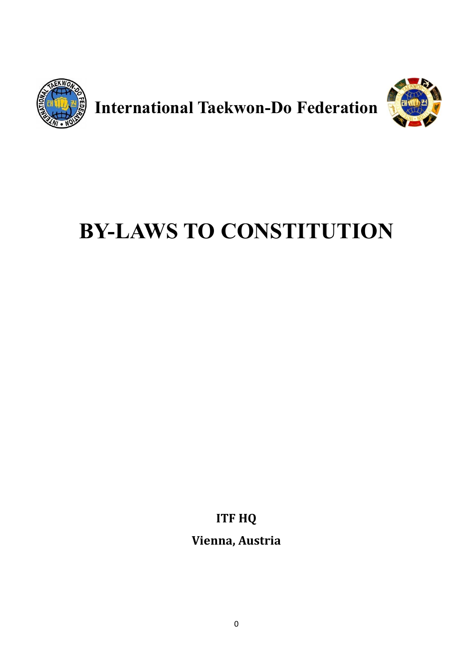

**International Taekwon-Do Federation**



# **BY-LAWS TO CONSTITUTION**

**ITF HQ**

**Vienna, Austria**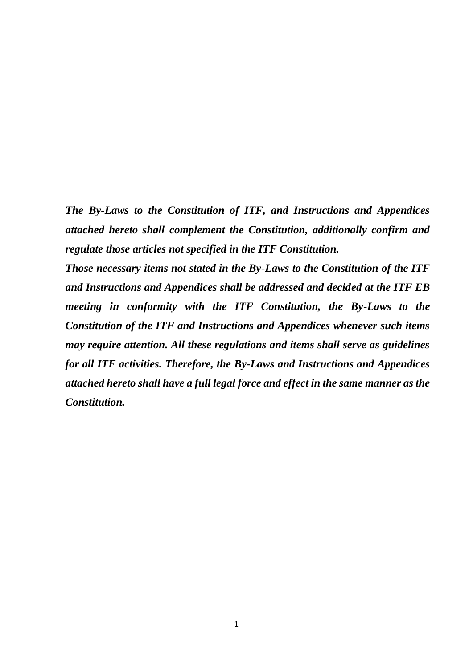*The By-Laws to the Constitution of ITF, and Instructions and Appendices attached hereto shall complement the Constitution, additionally confirm and regulate those articles not specified in the ITF Constitution.*

*Those necessary items not stated in the By-Laws to the Constitution of the ITF and Instructions and Appendices shall be addressed and decided at the ITF EB meeting in conformity with the ITF Constitution, the By-Laws to the Constitution of the ITF and Instructions and Appendices whenever such items may require attention. All these regulations and items shall serve as guidelines for all ITF activities. Therefore, the By-Laws and Instructions and Appendices attached hereto shall have a full legal force and effect in the same manner as the Constitution.*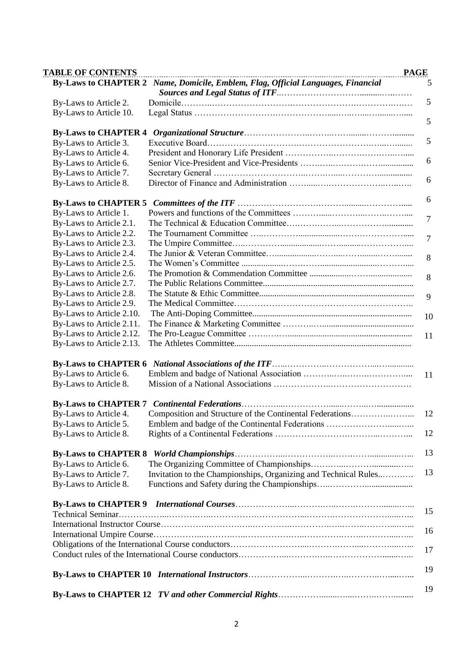| <b>TABLE OF CONTENTS</b>                             |                                                                                  |    |
|------------------------------------------------------|----------------------------------------------------------------------------------|----|
|                                                      | By-Laws to CHAPTER 2 Name, Domicile, Emblem, Flag, Official Languages, Financial |    |
| By-Laws to Article 2.                                |                                                                                  |    |
| By-Laws to Article 10.                               |                                                                                  |    |
|                                                      |                                                                                  |    |
| <b>By-Laws to CHAPTER 4</b><br>By-Laws to Article 3. |                                                                                  |    |
| By-Laws to Article 4.                                |                                                                                  |    |
| By-Laws to Article 6.                                |                                                                                  |    |
| By-Laws to Article 7.                                |                                                                                  |    |
| By-Laws to Article 8.                                |                                                                                  |    |
|                                                      |                                                                                  |    |
| By-Laws to Article 1.                                |                                                                                  |    |
| By-Laws to Article 2.1.                              |                                                                                  |    |
| By-Laws to Article 2.2.                              |                                                                                  |    |
| By-Laws to Article 2.3.                              |                                                                                  |    |
| By-Laws to Article 2.4.                              |                                                                                  |    |
| By-Laws to Article 2.5.                              |                                                                                  |    |
| By-Laws to Article 2.6.                              |                                                                                  |    |
| By-Laws to Article 2.7.                              |                                                                                  |    |
| By-Laws to Article 2.8.                              |                                                                                  |    |
| By-Laws to Article 2.9.                              |                                                                                  |    |
|                                                      |                                                                                  |    |
| By-Laws to Article 2.10.                             |                                                                                  |    |
| By-Laws to Article 2.11.                             |                                                                                  |    |
| By-Laws to Article 2.12.<br>By-Laws to Article 2.13. |                                                                                  |    |
|                                                      |                                                                                  |    |
|                                                      |                                                                                  |    |
| By-Laws to Article 6.                                |                                                                                  | 11 |
| By-Laws to Article 8.                                |                                                                                  |    |
|                                                      |                                                                                  |    |
| By-Laws to Article 4.                                | Composition and Structure of the Continental Federations                         | 12 |
| By-Laws to Article 5.                                | Emblem and badge of the Continental Federations                                  |    |
| By-Laws to Article 8.                                |                                                                                  |    |
|                                                      |                                                                                  |    |
| By-Laws to Article 6.                                |                                                                                  |    |
| By-Laws to Article 7.                                | Invitation to the Championships, Organizing and Technical Rules                  |    |
| By-Laws to Article 8.                                |                                                                                  |    |
|                                                      |                                                                                  |    |
|                                                      |                                                                                  |    |
|                                                      |                                                                                  |    |
|                                                      |                                                                                  |    |
|                                                      |                                                                                  |    |
|                                                      |                                                                                  |    |
|                                                      |                                                                                  |    |
|                                                      |                                                                                  |    |
|                                                      |                                                                                  |    |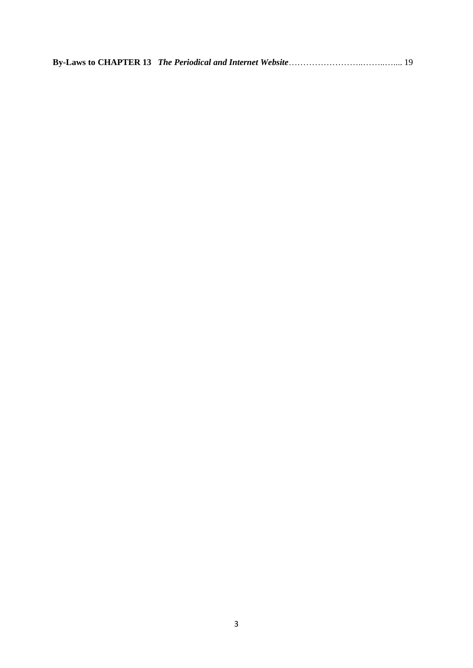|--|--|--|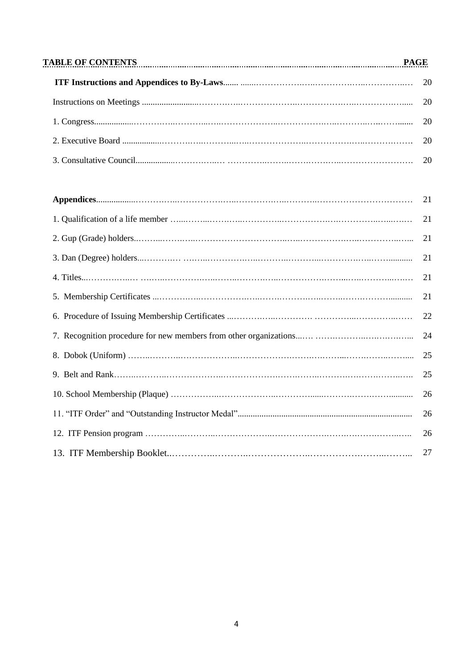| TABLE OF CONTENTS [1990] PAGE [2013] TABLE OF CONTENTS [2013] CONTENTS [2013] [2013] CONTENTS [2014] [2014] [2014] [2014] [2014] [2014] [2014] [2014] [2014] [2014] [2014] [2014] [2014] [2014] [2014] [2014] [2014] [2014] [2 |  |  |
|--------------------------------------------------------------------------------------------------------------------------------------------------------------------------------------------------------------------------------|--|--|
|                                                                                                                                                                                                                                |  |  |
|                                                                                                                                                                                                                                |  |  |
|                                                                                                                                                                                                                                |  |  |
|                                                                                                                                                                                                                                |  |  |
|                                                                                                                                                                                                                                |  |  |

| 21 |
|----|
| 21 |
| 21 |
| 21 |
| 21 |
| 22 |
| 24 |
| 25 |
| 25 |
| 26 |
| 26 |
| 26 |
| 27 |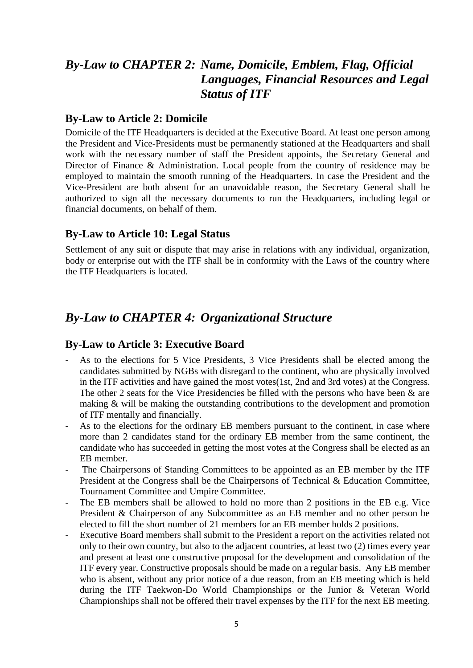### *By-Law to CHAPTER 2: Name, Domicile, Emblem, Flag, Official Languages, Financial Resources and Legal Status of ITF*

#### **By-Law to Article 2: Domicile**

Domicile of the ITF Headquarters is decided at the Executive Board. At least one person among the President and Vice-Presidents must be permanently stationed at the Headquarters and shall work with the necessary number of staff the President appoints, the Secretary General and Director of Finance & Administration. Local people from the country of residence may be employed to maintain the smooth running of the Headquarters. In case the President and the Vice-President are both absent for an unavoidable reason, the Secretary General shall be authorized to sign all the necessary documents to run the Headquarters, including legal or financial documents, on behalf of them.

#### **By-Law to Article 10: Legal Status**

Settlement of any suit or dispute that may arise in relations with any individual, organization, body or enterprise out with the ITF shall be in conformity with the Laws of the country where the ITF Headquarters is located.

### *By-Law to CHAPTER 4: Organizational Structure*

#### **By-Law to Article 3: Executive Board**

- As to the elections for 5 Vice Presidents, 3 Vice Presidents shall be elected among the candidates submitted by NGBs with disregard to the continent, who are physically involved in the ITF activities and have gained the most votes(1st, 2nd and 3rd votes) at the Congress. The other 2 seats for the Vice Presidencies be filled with the persons who have been & are making & will be making the outstanding contributions to the development and promotion of ITF mentally and financially.
- As to the elections for the ordinary EB members pursuant to the continent, in case where more than 2 candidates stand for the ordinary EB member from the same continent, the candidate who has succeeded in getting the most votes at the Congress shall be elected as an EB member.
- The Chairpersons of Standing Committees to be appointed as an EB member by the ITF President at the Congress shall be the Chairpersons of Technical & Education Committee, Tournament Committee and Umpire Committee.
- The EB members shall be allowed to hold no more than 2 positions in the EB e.g. Vice President & Chairperson of any Subcommittee as an EB member and no other person be elected to fill the short number of 21 members for an EB member holds 2 positions.
- Executive Board members shall submit to the President a report on the activities related not only to their own country, but also to the adjacent countries, at least two (2) times every year and present at least one constructive proposal for the development and consolidation of the ITF every year. Constructive proposals should be made on a regular basis. Any EB member who is absent, without any prior notice of a due reason, from an EB meeting which is held during the ITF Taekwon-Do World Championships or the Junior & Veteran World Championships shall not be offered their travel expenses by the ITF for the next EB meeting.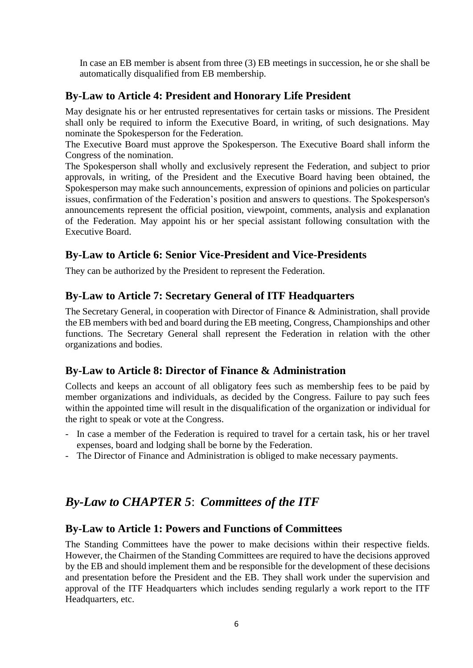In case an EB member is absent from three (3) EB meetings in succession, he or she shall be automatically disqualified from EB membership.

### **By-Law to Article 4: President and Honorary Life President**

May designate his or her entrusted representatives for certain tasks or missions. The President shall only be required to inform the Executive Board, in writing, of such designations. May nominate the Spokesperson for the Federation.

The Executive Board must approve the Spokesperson. The Executive Board shall inform the Congress of the nomination.

The Spokesperson shall wholly and exclusively represent the Federation, and subject to prior approvals, in writing, of the President and the Executive Board having been obtained, the Spokesperson may make such announcements, expression of opinions and policies on particular issues, confirmation of the Federation's position and answers to questions. The Spokesperson's announcements represent the official position, viewpoint, comments, analysis and explanation of the Federation. May appoint his or her special assistant following consultation with the Executive Board.

### **By-Law to Article 6: Senior Vice-President and Vice-Presidents**

They can be authorized by the President to represent the Federation.

### **By-Law to Article 7: Secretary General of ITF Headquarters**

The Secretary General, in cooperation with Director of Finance & Administration, shall provide the EB members with bed and board during the EB meeting, Congress, Championships and other functions. The Secretary General shall represent the Federation in relation with the other organizations and bodies.

### **By-Law to Article 8: Director of Finance & Administration**

Collects and keeps an account of all obligatory fees such as membership fees to be paid by member organizations and individuals, as decided by the Congress. Failure to pay such fees within the appointed time will result in the disqualification of the organization or individual for the right to speak or vote at the Congress.

- In case a member of the Federation is required to travel for a certain task, his or her travel expenses, board and lodging shall be borne by the Federation.
- The Director of Finance and Administration is obliged to make necessary payments.

### *By-Law to CHAPTER 5*: *Committees of the ITF*

#### **By-Law to Article 1: Powers and Functions of Committees**

The Standing Committees have the power to make decisions within their respective fields. However, the Chairmen of the Standing Committees are required to have the decisions approved by the EB and should implement them and be responsible for the development of these decisions and presentation before the President and the EB. They shall work under the supervision and approval of the ITF Headquarters which includes sending regularly a work report to the ITF Headquarters, etc.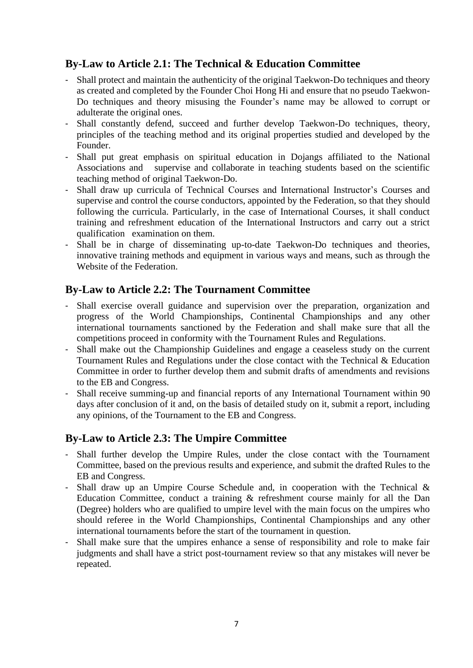### **By-Law to Article 2.1: The Technical & Education Committee**

- Shall protect and maintain the authenticity of the original Taekwon-Do techniques and theory as created and completed by the Founder Choi Hong Hi and ensure that no pseudo Taekwon-Do techniques and theory misusing the Founder's name may be allowed to corrupt or adulterate the original ones.
- Shall constantly defend, succeed and further develop Taekwon-Do techniques, theory, principles of the teaching method and its original properties studied and developed by the Founder.
- Shall put great emphasis on spiritual education in Dojangs affiliated to the National Associations and supervise and collaborate in teaching students based on the scientific teaching method of original Taekwon-Do.
- Shall draw up curricula of Technical Courses and International Instructor's Courses and supervise and control the course conductors, appointed by the Federation, so that they should following the curricula. Particularly, in the case of International Courses, it shall conduct training and refreshment education of the International Instructors and carry out a strict qualification examination on them.
- Shall be in charge of disseminating up-to-date Taekwon-Do techniques and theories, innovative training methods and equipment in various ways and means, such as through the Website of the Federation.

#### **By-Law to Article 2.2: The Tournament Committee**

- Shall exercise overall guidance and supervision over the preparation, organization and progress of the World Championships, Continental Championships and any other international tournaments sanctioned by the Federation and shall make sure that all the competitions proceed in conformity with the Tournament Rules and Regulations.
- Shall make out the Championship Guidelines and engage a ceaseless study on the current Tournament Rules and Regulations under the close contact with the Technical & Education Committee in order to further develop them and submit drafts of amendments and revisions to the EB and Congress.
- Shall receive summing-up and financial reports of any International Tournament within 90 days after conclusion of it and, on the basis of detailed study on it, submit a report, including any opinions, of the Tournament to the EB and Congress.

#### **By-Law to Article 2.3: The Umpire Committee**

- Shall further develop the Umpire Rules, under the close contact with the Tournament Committee, based on the previous results and experience, and submit the drafted Rules to the EB and Congress.
- Shall draw up an Umpire Course Schedule and, in cooperation with the Technical & Education Committee, conduct a training & refreshment course mainly for all the Dan (Degree) holders who are qualified to umpire level with the main focus on the umpires who should referee in the World Championships, Continental Championships and any other international tournaments before the start of the tournament in question.
- Shall make sure that the umpires enhance a sense of responsibility and role to make fair judgments and shall have a strict post-tournament review so that any mistakes will never be repeated.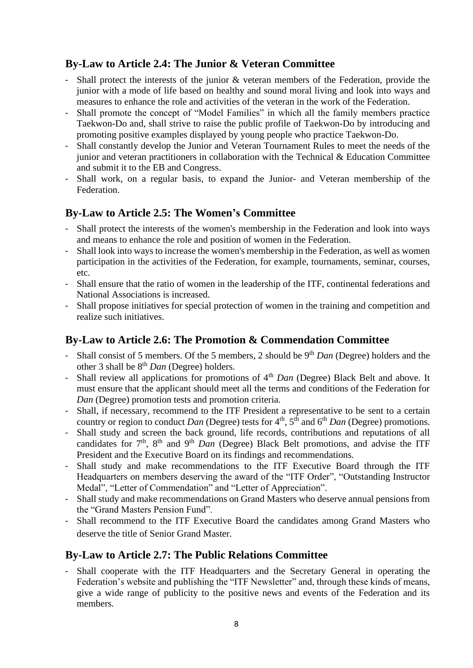### **By-Law to Article 2.4: The Junior & Veteran Committee**

- Shall protect the interests of the junior & veteran members of the Federation, provide the junior with a mode of life based on healthy and sound moral living and look into ways and measures to enhance the role and activities of the veteran in the work of the Federation.
- Shall promote the concept of "Model Families" in which all the family members practice Taekwon-Do and, shall strive to raise the public profile of Taekwon-Do by introducing and promoting positive examples displayed by young people who practice Taekwon-Do.
- Shall constantly develop the Junior and Veteran Tournament Rules to meet the needs of the junior and veteran practitioners in collaboration with the Technical & Education Committee and submit it to the EB and Congress.
- Shall work, on a regular basis, to expand the Junior- and Veteran membership of the Federation.

#### **By-Law to Article 2.5: The Women's Committee**

- Shall protect the interests of the women's membership in the Federation and look into ways and means to enhance the role and position of women in the Federation.
- Shall look into ways to increase the women's membership in the Federation, as well as women participation in the activities of the Federation, for example, tournaments, seminar, courses, etc.
- Shall ensure that the ratio of women in the leadership of the ITF, continental federations and National Associations is increased.
- Shall propose initiatives for special protection of women in the training and competition and realize such initiatives.

### **By-Law to Article 2.6: The Promotion & Commendation Committee**

- Shall consist of 5 members. Of the 5 members, 2 should be 9<sup>th</sup> *Dan* (Degree) holders and the other 3 shall be 8th *Dan* (Degree) holders.
- Shall review all applications for promotions of 4th *Dan* (Degree) Black Belt and above. It must ensure that the applicant should meet all the terms and conditions of the Federation for *Dan* (Degree) promotion tests and promotion criteria.
- Shall, if necessary, recommend to the ITF President a representative to be sent to a certain country or region to conduct *Dan* (Degree) tests for 4<sup>th</sup>, 5<sup>th</sup> and 6<sup>th</sup> *Dan* (Degree) promotions.
- Shall study and screen the back ground, life records, contributions and reputations of all candidates for  $7<sup>th</sup>$ ,  $8<sup>th</sup>$  and  $9<sup>th</sup>$  *Dan* (Degree) Black Belt promotions, and advise the ITF President and the Executive Board on its findings and recommendations.
- Shall study and make recommendations to the ITF Executive Board through the ITF Headquarters on members deserving the award of the "ITF Order", "Outstanding Instructor Medal", "Letter of Commendation" and "Letter of Appreciation".
- Shall study and make recommendations on Grand Masters who deserve annual pensions from the "Grand Masters Pension Fund".
- Shall recommend to the ITF Executive Board the candidates among Grand Masters who deserve the title of Senior Grand Master.

#### **By-Law to Article 2.7: The Public Relations Committee**

- Shall cooperate with the ITF Headquarters and the Secretary General in operating the Federation's website and publishing the "ITF Newsletter" and, through these kinds of means, give a wide range of publicity to the positive news and events of the Federation and its members.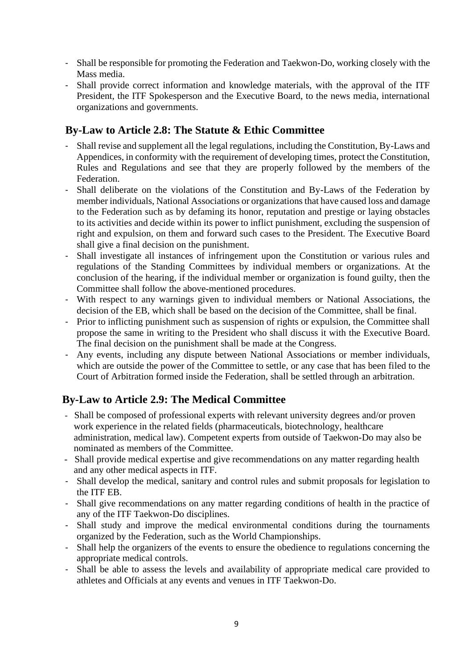- Shall be responsible for promoting the Federation and Taekwon-Do, working closely with the Mass media.
- Shall provide correct information and knowledge materials, with the approval of the ITF President, the ITF Spokesperson and the Executive Board, to the news media, international organizations and governments.

### **By-Law to Article 2.8: The Statute & Ethic Committee**

- Shall revise and supplement all the legal regulations, including the Constitution, By-Laws and Appendices, in conformity with the requirement of developing times, protect the Constitution, Rules and Regulations and see that they are properly followed by the members of the Federation.
- Shall deliberate on the violations of the Constitution and By-Laws of the Federation by member individuals, National Associations or organizations that have caused loss and damage to the Federation such as by defaming its honor, reputation and prestige or laying obstacles to its activities and decide within its power to inflict punishment, excluding the suspension of right and expulsion, on them and forward such cases to the President. The Executive Board shall give a final decision on the punishment.
- Shall investigate all instances of infringement upon the Constitution or various rules and regulations of the Standing Committees by individual members or organizations. At the conclusion of the hearing, if the individual member or organization is found guilty, then the Committee shall follow the above-mentioned procedures.
- With respect to any warnings given to individual members or National Associations, the decision of the EB, which shall be based on the decision of the Committee, shall be final.
- Prior to inflicting punishment such as suspension of rights or expulsion, the Committee shall propose the same in writing to the President who shall discuss it with the Executive Board. The final decision on the punishment shall be made at the Congress.
- Any events, including any dispute between National Associations or member individuals, which are outside the power of the Committee to settle, or any case that has been filed to the Court of Arbitration formed inside the Federation, shall be settled through an arbitration.

### **By-Law to Article 2.9: The Medical Committee**

- Shall be composed of professional experts with relevant university degrees and/or proven work experience in the related fields (pharmaceuticals, biotechnology, healthcare administration, medical law). Competent experts from outside of Taekwon-Do may also be nominated as members of the Committee.
- Shall provide medical expertise and give recommendations on any matter regarding health and any other medical aspects in ITF.
- Shall develop the medical, sanitary and control rules and submit proposals for legislation to the ITF EB.
- Shall give recommendations on any matter regarding conditions of health in the practice of any of the ITF Taekwon-Do disciplines.
- Shall study and improve the medical environmental conditions during the tournaments organized by the Federation, such as the World Championships.
- Shall help the organizers of the events to ensure the obedience to regulations concerning the appropriate medical controls.
- Shall be able to assess the levels and availability of appropriate medical care provided to athletes and Officials at any events and venues in ITF Taekwon-Do.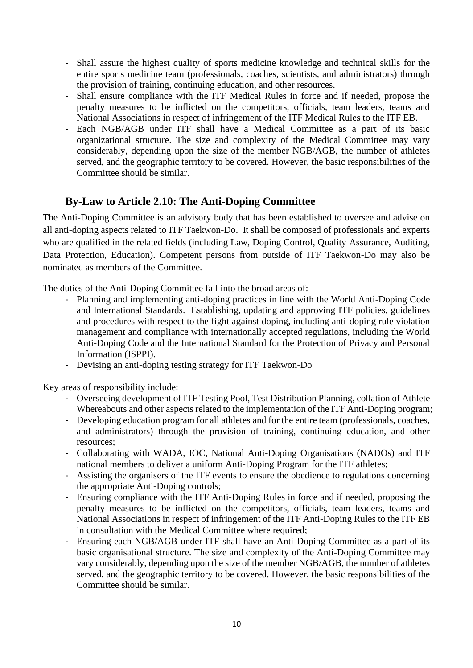- Shall assure the highest quality of sports medicine knowledge and technical skills for the entire sports medicine team (professionals, coaches, scientists, and administrators) through the provision of training, continuing education, and other resources.
- Shall ensure compliance with the ITF Medical Rules in force and if needed, propose the penalty measures to be inflicted on the competitors, officials, team leaders, teams and National Associations in respect of infringement of the ITF Medical Rules to the ITF EB.
- Each NGB/AGB under ITF shall have a Medical Committee as a part of its basic organizational structure. The size and complexity of the Medical Committee may vary considerably, depending upon the size of the member NGB/AGB, the number of athletes served, and the geographic territory to be covered. However, the basic responsibilities of the Committee should be similar.

### **By-Law to Article 2.10: The Anti-Doping Committee**

The Anti-Doping Committee is an advisory body that has been established to oversee and advise on all anti-doping aspects related to ITF Taekwon-Do. It shall be composed of professionals and experts who are qualified in the related fields (including Law, Doping Control, Quality Assurance, Auditing, Data Protection, Education). Competent persons from outside of ITF Taekwon-Do may also be nominated as members of the Committee.

The duties of the Anti-Doping Committee fall into the broad areas of:

- Planning and implementing anti-doping practices in line with the World Anti-Doping Code and International Standards. Establishing, updating and approving ITF policies, guidelines and procedures with respect to the fight against doping, including anti-doping rule violation management and compliance with internationally accepted regulations, including the World Anti-Doping Code and the International Standard for the Protection of Privacy and Personal Information (ISPPI).
- Devising an anti-doping testing strategy for ITF Taekwon-Do

Key areas of responsibility include:

- Overseeing development of ITF Testing Pool, Test Distribution Planning, collation of Athlete Whereabouts and other aspects related to the implementation of the ITF Anti-Doping program;
- Developing education program for all athletes and for the entire team (professionals, coaches, and administrators) through the provision of training, continuing education, and other resources;
- Collaborating with WADA, IOC, National Anti-Doping Organisations (NADOs) and ITF national members to deliver a uniform Anti-Doping Program for the ITF athletes;
- Assisting the organisers of the ITF events to ensure the obedience to regulations concerning the appropriate Anti-Doping controls;
- Ensuring compliance with the ITF Anti-Doping Rules in force and if needed, proposing the penalty measures to be inflicted on the competitors, officials, team leaders, teams and National Associations in respect of infringement of the ITF Anti-Doping Rules to the ITF EB in consultation with the Medical Committee where required;
- Ensuring each NGB/AGB under ITF shall have an Anti-Doping Committee as a part of its basic organisational structure. The size and complexity of the Anti-Doping Committee may vary considerably, depending upon the size of the member NGB/AGB, the number of athletes served, and the geographic territory to be covered. However, the basic responsibilities of the Committee should be similar.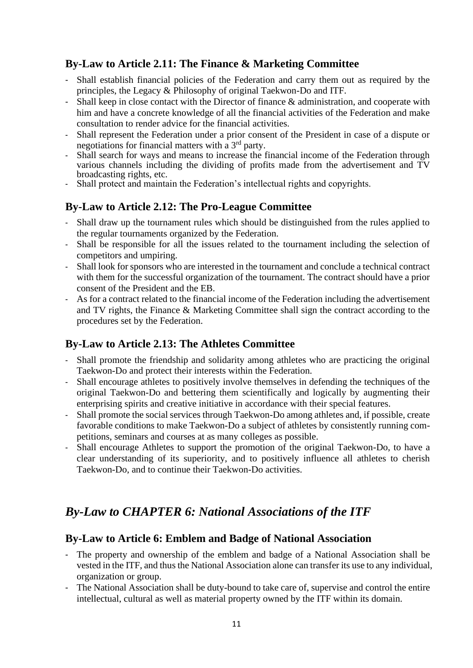### **By-Law to Article 2.11: The Finance & Marketing Committee**

- Shall establish financial policies of the Federation and carry them out as required by the principles, the Legacy & Philosophy of original Taekwon-Do and ITF.
- Shall keep in close contact with the Director of finance & administration, and cooperate with him and have a concrete knowledge of all the financial activities of the Federation and make consultation to render advice for the financial activities.
- Shall represent the Federation under a prior consent of the President in case of a dispute or negotiations for financial matters with a 3rd party.
- Shall search for ways and means to increase the financial income of the Federation through various channels including the dividing of profits made from the advertisement and TV broadcasting rights, etc.
- Shall protect and maintain the Federation's intellectual rights and copyrights.

### **By-Law to Article 2.12: The Pro-League Committee**

- Shall draw up the tournament rules which should be distinguished from the rules applied to the regular tournaments organized by the Federation.
- Shall be responsible for all the issues related to the tournament including the selection of competitors and umpiring.
- Shall look for sponsors who are interested in the tournament and conclude a technical contract with them for the successful organization of the tournament. The contract should have a prior consent of the President and the EB.
- As for a contract related to the financial income of the Federation including the advertisement and TV rights, the Finance & Marketing Committee shall sign the contract according to the procedures set by the Federation.

### **By-Law to Article 2.13: The Athletes Committee**

- Shall promote the friendship and solidarity among athletes who are practicing the original Taekwon-Do and protect their interests within the Federation.
- Shall encourage athletes to positively involve themselves in defending the techniques of the original Taekwon-Do and bettering them scientifically and logically by augmenting their enterprising spirits and creative initiative in accordance with their special features.
- Shall promote the social services through Taekwon-Do among athletes and, if possible, create favorable conditions to make Taekwon-Do a subject of athletes by consistently running competitions, seminars and courses at as many colleges as possible.
- Shall encourage Athletes to support the promotion of the original Taekwon-Do, to have a clear understanding of its superiority, and to positively influence all athletes to cherish Taekwon-Do, and to continue their Taekwon-Do activities.

### *By-Law to CHAPTER 6: National Associations of the ITF*

#### **By-Law to Article 6: Emblem and Badge of National Association**

- The property and ownership of the emblem and badge of a National Association shall be vested in the ITF, and thus the National Association alone can transfer its use to any individual, organization or group.
- The National Association shall be duty-bound to take care of, supervise and control the entire intellectual, cultural as well as material property owned by the ITF within its domain.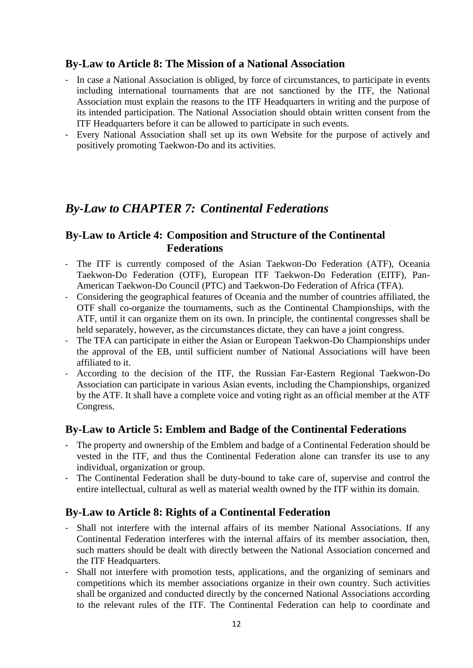#### **By-Law to Article 8: The Mission of a National Association**

- In case a National Association is obliged, by force of circumstances, to participate in events including international tournaments that are not sanctioned by the ITF, the National Association must explain the reasons to the ITF Headquarters in writing and the purpose of its intended participation. The National Association should obtain written consent from the ITF Headquarters before it can be allowed to participate in such events.
- Every National Association shall set up its own Website for the purpose of actively and positively promoting Taekwon-Do and its activities.

### *By-Law to CHAPTER 7: Continental Federations*

#### **By-Law to Article 4: Composition and Structure of the Continental Federations**

- The ITF is currently composed of the Asian Taekwon-Do Federation (ATF), Oceania Taekwon-Do Federation (OTF), European ITF Taekwon-Do Federation (EITF), Pan-American Taekwon-Do Council (PTC) and Taekwon-Do Federation of Africa (TFA).
- Considering the geographical features of Oceania and the number of countries affiliated, the OTF shall co-organize the tournaments, such as the Continental Championships, with the ATF, until it can organize them on its own. In principle, the continental congresses shall be held separately, however, as the circumstances dictate, they can have a joint congress.
- The TFA can participate in either the Asian or European Taekwon-Do Championships under the approval of the EB, until sufficient number of National Associations will have been affiliated to it.
- According to the decision of the ITF, the Russian Far-Eastern Regional Taekwon-Do Association can participate in various Asian events, including the Championships, organized by the ATF. It shall have a complete voice and voting right as an official member at the ATF Congress.

#### **By-Law to Article 5: Emblem and Badge of the Continental Federations**

- The property and ownership of the Emblem and badge of a Continental Federation should be vested in the ITF, and thus the Continental Federation alone can transfer its use to any individual, organization or group.
- The Continental Federation shall be duty-bound to take care of, supervise and control the entire intellectual, cultural as well as material wealth owned by the ITF within its domain.

#### **By-Law to Article 8: Rights of a Continental Federation**

- Shall not interfere with the internal affairs of its member National Associations. If any Continental Federation interferes with the internal affairs of its member association, then, such matters should be dealt with directly between the National Association concerned and the ITF Headquarters.
- Shall not interfere with promotion tests, applications, and the organizing of seminars and competitions which its member associations organize in their own country. Such activities shall be organized and conducted directly by the concerned National Associations according to the relevant rules of the ITF. The Continental Federation can help to coordinate and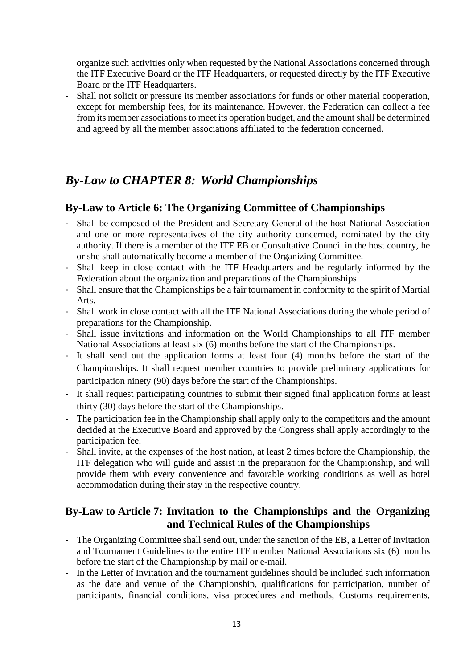organize such activities only when requested by the National Associations concerned through the ITF Executive Board or the ITF Headquarters, or requested directly by the ITF Executive Board or the ITF Headquarters.

- Shall not solicit or pressure its member associations for funds or other material cooperation, except for membership fees, for its maintenance. However, the Federation can collect a fee from its member associations to meet its operation budget, and the amount shall be determined and agreed by all the member associations affiliated to the federation concerned.

### *By-Law to CHAPTER 8: World Championships*

#### **By-Law to Article 6: The Organizing Committee of Championships**

- Shall be composed of the President and Secretary General of the host National Association and one or more representatives of the city authority concerned, nominated by the city authority. If there is a member of the ITF EB or Consultative Council in the host country, he or she shall automatically become a member of the Organizing Committee.
- Shall keep in close contact with the ITF Headquarters and be regularly informed by the Federation about the organization and preparations of the Championships.
- Shall ensure that the Championships be a fair tournament in conformity to the spirit of Martial Arts.
- Shall work in close contact with all the ITF National Associations during the whole period of preparations for the Championship.
- Shall issue invitations and information on the World Championships to all ITF member National Associations at least six (6) months before the start of the Championships.
- It shall send out the application forms at least four (4) months before the start of the Championships. It shall request member countries to provide preliminary applications for participation ninety (90) days before the start of the Championships.
- It shall request participating countries to submit their signed final application forms at least thirty (30) days before the start of the Championships.
- The participation fee in the Championship shall apply only to the competitors and the amount decided at the Executive Board and approved by the Congress shall apply accordingly to the participation fee.
- Shall invite, at the expenses of the host nation, at least 2 times before the Championship, the ITF delegation who will guide and assist in the preparation for the Championship, and will provide them with every convenience and favorable working conditions as well as hotel accommodation during their stay in the respective country.

### **By-Law to Article 7: Invitation to the Championships and the Organizing and Technical Rules of the Championships**

- The Organizing Committee shall send out, under the sanction of the EB, a Letter of Invitation and Tournament Guidelines to the entire ITF member National Associations six (6) months before the start of the Championship by mail or e-mail.
- In the Letter of Invitation and the tournament guidelines should be included such information as the date and venue of the Championship, qualifications for participation, number of participants, financial conditions, visa procedures and methods, Customs requirements,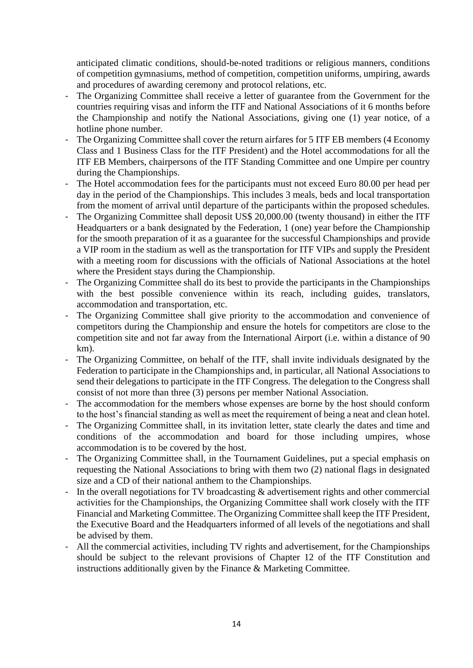anticipated climatic conditions, should-be-noted traditions or religious manners, conditions of competition gymnasiums, method of competition, competition uniforms, umpiring, awards and procedures of awarding ceremony and protocol relations, etc.

- The Organizing Committee shall receive a letter of guarantee from the Government for the countries requiring visas and inform the ITF and National Associations of it 6 months before the Championship and notify the National Associations, giving one (1) year notice, of a hotline phone number.
- The Organizing Committee shall cover the return airfares for 5 ITF EB members (4 Economy Class and 1 Business Class for the ITF President) and the Hotel accommodations for all the ITF EB Members, chairpersons of the ITF Standing Committee and one Umpire per country during the Championships.
- The Hotel accommodation fees for the participants must not exceed Euro 80.00 per head per day in the period of the Championships. This includes 3 meals, beds and local transportation from the moment of arrival until departure of the participants within the proposed schedules.
- The Organizing Committee shall deposit US\$ 20,000.00 (twenty thousand) in either the ITF Headquarters or a bank designated by the Federation, 1 (one) year before the Championship for the smooth preparation of it as a guarantee for the successful Championships and provide a VIP room in the stadium as well as the transportation for ITF VIPs and supply the President with a meeting room for discussions with the officials of National Associations at the hotel where the President stays during the Championship.
- The Organizing Committee shall do its best to provide the participants in the Championships with the best possible convenience within its reach, including guides, translators, accommodation and transportation, etc.
- The Organizing Committee shall give priority to the accommodation and convenience of competitors during the Championship and ensure the hotels for competitors are close to the competition site and not far away from the International Airport (i.e. within a distance of 90 km).
- The Organizing Committee, on behalf of the ITF, shall invite individuals designated by the Federation to participate in the Championships and, in particular, all National Associations to send their delegations to participate in the ITF Congress. The delegation to the Congress shall consist of not more than three (3) persons per member National Association.
- The accommodation for the members whose expenses are borne by the host should conform to the host's financial standing as well as meet the requirement of being a neat and clean hotel.
- The Organizing Committee shall, in its invitation letter, state clearly the dates and time and conditions of the accommodation and board for those including umpires, whose accommodation is to be covered by the host.
- The Organizing Committee shall, in the Tournament Guidelines, put a special emphasis on requesting the National Associations to bring with them two (2) national flags in designated size and a CD of their national anthem to the Championships.
- In the overall negotiations for TV broadcasting & advertisement rights and other commercial activities for the Championships, the Organizing Committee shall work closely with the ITF Financial and Marketing Committee. The Organizing Committee shall keep the ITF President, the Executive Board and the Headquarters informed of all levels of the negotiations and shall be advised by them.
- All the commercial activities, including TV rights and advertisement, for the Championships should be subject to the relevant provisions of Chapter 12 of the ITF Constitution and instructions additionally given by the Finance & Marketing Committee.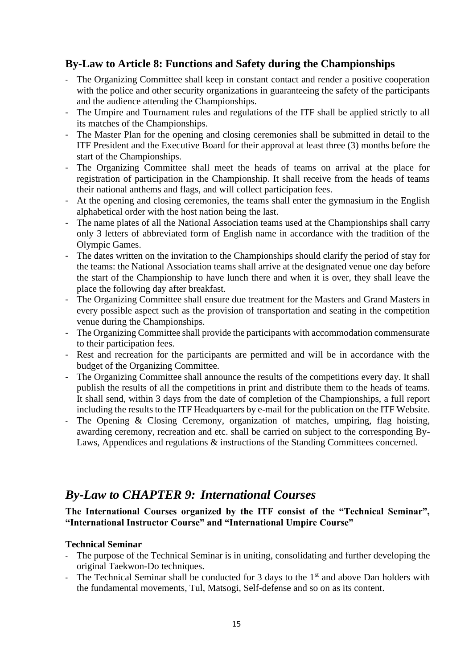### **By-Law to Article 8: Functions and Safety during the Championships**

- The Organizing Committee shall keep in constant contact and render a positive cooperation with the police and other security organizations in guaranteeing the safety of the participants and the audience attending the Championships.
- The Umpire and Tournament rules and regulations of the ITF shall be applied strictly to all its matches of the Championships.
- The Master Plan for the opening and closing ceremonies shall be submitted in detail to the ITF President and the Executive Board for their approval at least three (3) months before the start of the Championships.
- The Organizing Committee shall meet the heads of teams on arrival at the place for registration of participation in the Championship. It shall receive from the heads of teams their national anthems and flags, and will collect participation fees.
- At the opening and closing ceremonies, the teams shall enter the gymnasium in the English alphabetical order with the host nation being the last.
- The name plates of all the National Association teams used at the Championships shall carry only 3 letters of abbreviated form of English name in accordance with the tradition of the Olympic Games.
- The dates written on the invitation to the Championships should clarify the period of stay for the teams: the National Association teams shall arrive at the designated venue one day before the start of the Championship to have lunch there and when it is over, they shall leave the place the following day after breakfast.
- The Organizing Committee shall ensure due treatment for the Masters and Grand Masters in every possible aspect such as the provision of transportation and seating in the competition venue during the Championships.
- The Organizing Committee shall provide the participants with accommodation commensurate to their participation fees.
- Rest and recreation for the participants are permitted and will be in accordance with the budget of the Organizing Committee.
- The Organizing Committee shall announce the results of the competitions every day. It shall publish the results of all the competitions in print and distribute them to the heads of teams. It shall send, within 3 days from the date of completion of the Championships, a full report including the results to the ITF Headquarters by e-mail for the publication on the ITF Website.
- The Opening & Closing Ceremony, organization of matches, umpiring, flag hoisting, awarding ceremony, recreation and etc. shall be carried on subject to the corresponding By-Laws, Appendices and regulations & instructions of the Standing Committees concerned.

### *By-Law to CHAPTER 9: International Courses*

#### **The International Courses organized by the ITF consist of the "Technical Seminar", "International Instructor Course" and "International Umpire Course"**

#### **Technical Seminar**

- The purpose of the Technical Seminar is in uniting, consolidating and further developing the original Taekwon-Do techniques.
- The Technical Seminar shall be conducted for 3 days to the 1<sup>st</sup> and above Dan holders with the fundamental movements, Tul, Matsogi*,* Self-defense and so on as its content.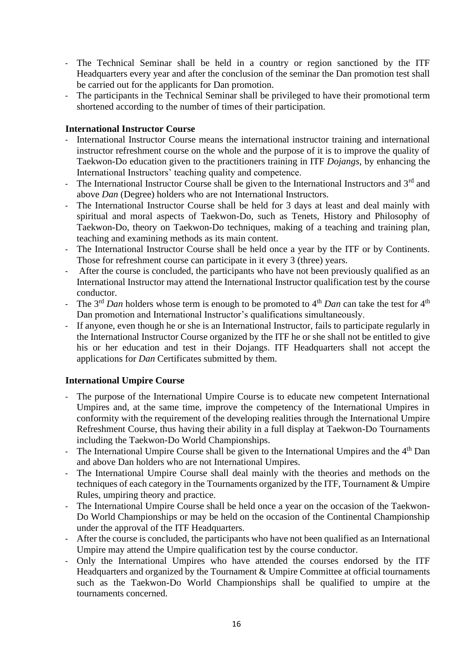- The Technical Seminar shall be held in a country or region sanctioned by the ITF Headquarters every year and after the conclusion of the seminar the Dan promotion test shall be carried out for the applicants for Dan promotion.
- The participants in the Technical Seminar shall be privileged to have their promotional term shortened according to the number of times of their participation.

#### **International Instructor Course**

- International Instructor Course means the international instructor training and international instructor refreshment course on the whole and the purpose of it is to improve the quality of Taekwon-Do education given to the practitioners training in ITF *Dojangs*, by enhancing the International Instructors' teaching quality and competence.
- The International Instructor Course shall be given to the International Instructors and 3<sup>rd</sup> and above *Dan* (Degree) holders who are not International Instructors.
- The International Instructor Course shall be held for 3 days at least and deal mainly with spiritual and moral aspects of Taekwon-Do, such as Tenets, History and Philosophy of Taekwon-Do, theory on Taekwon-Do techniques, making of a teaching and training plan, teaching and examining methods as its main content.
- The International Instructor Course shall be held once a year by the ITF or by Continents. Those for refreshment course can participate in it every 3 (three) years.
- After the course is concluded, the participants who have not been previously qualified as an International Instructor may attend the International Instructor qualification test by the course conductor.
- The  $3<sup>rd</sup> Dan$  holders whose term is enough to be promoted to  $4<sup>th</sup> Dan$  can take the test for  $4<sup>th</sup>$ Dan promotion and International Instructor's qualifications simultaneously.
- If anyone, even though he or she is an International Instructor, fails to participate regularly in the International Instructor Course organized by the ITF he or she shall not be entitled to give his or her education and test in their Dojangs. ITF Headquarters shall not accept the applications for *Dan* Certificates submitted by them.

#### **International Umpire Course**

- The purpose of the International Umpire Course is to educate new competent International Umpires and, at the same time, improve the competency of the International Umpires in conformity with the requirement of the developing realities through the International Umpire Refreshment Course, thus having their ability in a full display at Taekwon-Do Tournaments including the Taekwon-Do World Championships.
- The International Umpire Course shall be given to the International Umpires and the  $4<sup>th</sup>$  Dan and above Dan holders who are not International Umpires.
- The International Umpire Course shall deal mainly with the theories and methods on the techniques of each category in the Tournaments organized by the ITF, Tournament & Umpire Rules, umpiring theory and practice.
- The International Umpire Course shall be held once a year on the occasion of the Taekwon-Do World Championships or may be held on the occasion of the Continental Championship under the approval of the ITF Headquarters.
- After the course is concluded, the participants who have not been qualified as an International Umpire may attend the Umpire qualification test by the course conductor.
- Only the International Umpires who have attended the courses endorsed by the ITF Headquarters and organized by the Tournament & Umpire Committee at official tournaments such as the Taekwon-Do World Championships shall be qualified to umpire at the tournaments concerned.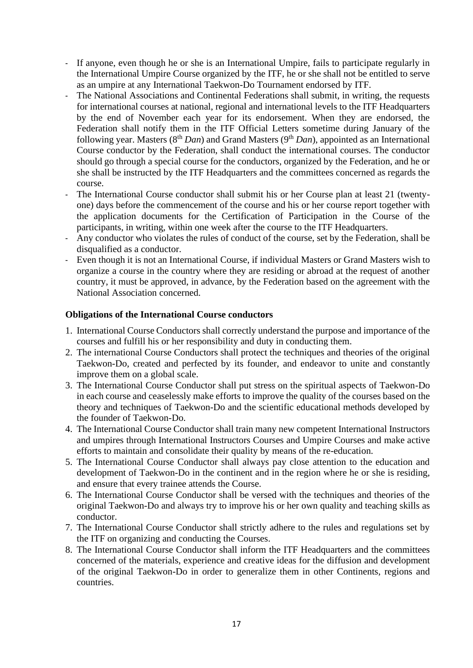- If anyone, even though he or she is an International Umpire, fails to participate regularly in the International Umpire Course organized by the ITF, he or she shall not be entitled to serve as an umpire at any International Taekwon-Do Tournament endorsed by ITF.
- The National Associations and Continental Federations shall submit, in writing, the requests for international courses at national, regional and international levels to the ITF Headquarters by the end of November each year for its endorsement. When they are endorsed, the Federation shall notify them in the ITF Official Letters sometime during January of the following year. Masters (8<sup>th</sup> *Dan*) and Grand Masters (9<sup>th</sup> *Dan*), appointed as an International Course conductor by the Federation, shall conduct the international courses. The conductor should go through a special course for the conductors, organized by the Federation, and he or she shall be instructed by the ITF Headquarters and the committees concerned as regards the course.
- The International Course conductor shall submit his or her Course plan at least 21 (twentyone) days before the commencement of the course and his or her course report together with the application documents for the Certification of Participation in the Course of the participants, in writing, within one week after the course to the ITF Headquarters.
- Any conductor who violates the rules of conduct of the course, set by the Federation, shall be disqualified as a conductor.
- Even though it is not an International Course, if individual Masters or Grand Masters wish to organize a course in the country where they are residing or abroad at the request of another country, it must be approved, in advance, by the Federation based on the agreement with the National Association concerned.

#### **Obligations of the International Course conductors**

- 1. International Course Conductors shall correctly understand the purpose and importance of the courses and fulfill his or her responsibility and duty in conducting them.
- 2. The international Course Conductors shall protect the techniques and theories of the original Taekwon-Do, created and perfected by its founder, and endeavor to unite and constantly improve them on a global scale.
- 3. The International Course Conductor shall put stress on the spiritual aspects of Taekwon-Do in each course and ceaselessly make efforts to improve the quality of the courses based on the theory and techniques of Taekwon-Do and the scientific educational methods developed by the founder of Taekwon-Do.
- 4. The International Course Conductor shall train many new competent International Instructors and umpires through International Instructors Courses and Umpire Courses and make active efforts to maintain and consolidate their quality by means of the re-education.
- 5. The International Course Conductor shall always pay close attention to the education and development of Taekwon-Do in the continent and in the region where he or she is residing, and ensure that every trainee attends the Course.
- 6. The International Course Conductor shall be versed with the techniques and theories of the original Taekwon-Do and always try to improve his or her own quality and teaching skills as conductor.
- 7. The International Course Conductor shall strictly adhere to the rules and regulations set by the ITF on organizing and conducting the Courses.
- 8. The International Course Conductor shall inform the ITF Headquarters and the committees concerned of the materials, experience and creative ideas for the diffusion and development of the original Taekwon-Do in order to generalize them in other Continents, regions and countries.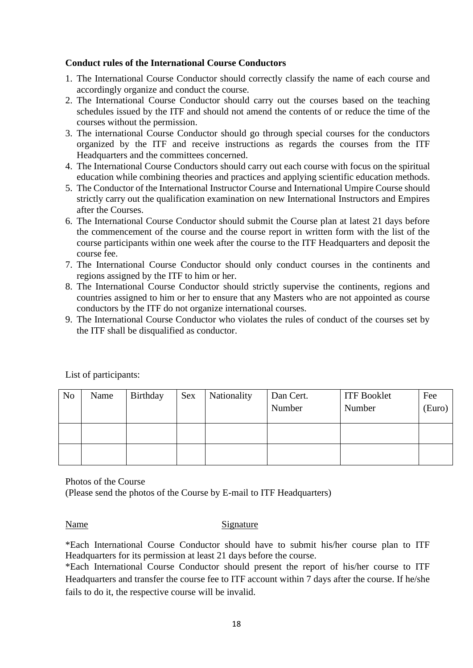#### **Conduct rules of the International Course Conductors**

- 1. The International Course Conductor should correctly classify the name of each course and accordingly organize and conduct the course.
- 2. The International Course Conductor should carry out the courses based on the teaching schedules issued by the ITF and should not amend the contents of or reduce the time of the courses without the permission.
- 3. The international Course Conductor should go through special courses for the conductors organized by the ITF and receive instructions as regards the courses from the ITF Headquarters and the committees concerned.
- 4. The International Course Conductors should carry out each course with focus on the spiritual education while combining theories and practices and applying scientific education methods.
- 5. The Conductor of the International Instructor Course and International Umpire Course should strictly carry out the qualification examination on new International Instructors and Empires after the Courses.
- 6. The International Course Conductor should submit the Course plan at latest 21 days before the commencement of the course and the course report in written form with the list of the course participants within one week after the course to the ITF Headquarters and deposit the course fee.
- 7. The International Course Conductor should only conduct courses in the continents and regions assigned by the ITF to him or her.
- 8. The International Course Conductor should strictly supervise the continents, regions and countries assigned to him or her to ensure that any Masters who are not appointed as course conductors by the ITF do not organize international courses.
- 9. The International Course Conductor who violates the rules of conduct of the courses set by the ITF shall be disqualified as conductor.

| N <sub>o</sub> | Name | Birthday | <b>Sex</b> | Nationality | Dan Cert.<br>Number | <b>ITF Booklet</b><br>Number | Fee<br>(Euro) |
|----------------|------|----------|------------|-------------|---------------------|------------------------------|---------------|
|                |      |          |            |             |                     |                              |               |
|                |      |          |            |             |                     |                              |               |

List of participants:

Photos of the Course (Please send the photos of the Course by E-mail to ITF Headquarters)

#### Name Signature

\*Each International Course Conductor should have to submit his/her course plan to ITF Headquarters for its permission at least 21 days before the course.

\*Each International Course Conductor should present the report of his/her course to ITF Headquarters and transfer the course fee to ITF account within 7 days after the course. If he/she fails to do it, the respective course will be invalid.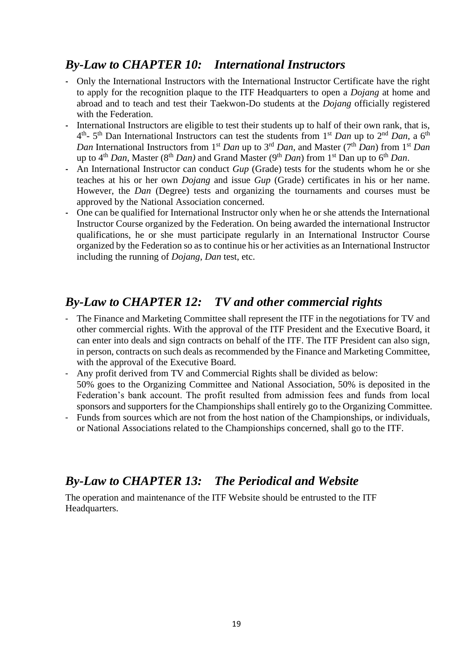### *By-Law to CHAPTER 10: International Instructors*

- **-** Only the International Instructors with the International Instructor Certificate have the right to apply for the recognition plaque to the ITF Headquarters to open a *Dojang* at home and abroad and to teach and test their Taekwon-Do students at the *Dojang* officially registered with the Federation.
- **-** International Instructors are eligible to test their students up to half of their own rank, that is, 4 th - 5 th Dan International Instructor*s* can test the students from 1st *Dan* up to 2nd *Dan*, a 6th *Dan* International Instructors from 1<sup>st</sup> *Dan* up to 3<sup>rd</sup> *Dan*, and Master (7<sup>th</sup> *Dan*) from 1<sup>st</sup> *Dan* up to 4<sup>th</sup> *Dan*, Master (8<sup>th</sup> *Dan*) and Grand Master (9<sup>th</sup> *Dan*) from 1<sup>st</sup> Dan up to 6<sup>th</sup> *Dan*.
- **-** An International Instructor can conduct *Gup* (Grade) tests for the students whom he or she teaches at his or her own *Dojang* and issue *Gup* (Grade) certificates in his or her name. However, the *Dan* (Degree) tests and organizing the tournaments and courses must be approved by the National Association concerned.
- **-** One can be qualified for International Instructor only when he or she attends the International Instructor Course organized by the Federation. On being awarded the international Instructor qualifications, he or she must participate regularly in an International Instructor Course organized by the Federation so as to continue his or her activities as an International Instructor including the running of *Dojang*, *Dan* test, etc.

### *By-Law to CHAPTER 12: TV and other commercial rights*

- The Finance and Marketing Committee shall represent the ITF in the negotiations for TV and other commercial rights. With the approval of the ITF President and the Executive Board, it can enter into deals and sign contracts on behalf of the ITF. The ITF President can also sign, in person, contracts on such deals as recommended by the Finance and Marketing Committee, with the approval of the Executive Board.
- Any profit derived from TV and Commercial Rights shall be divided as below: 50% goes to the Organizing Committee and National Association, 50% is deposited in the Federation's bank account. The profit resulted from admission fees and funds from local sponsors and supporters for the Championships shall entirely go to the Organizing Committee.
- Funds from sources which are not from the host nation of the Championships, or individuals, or National Associations related to the Championships concerned, shall go to the ITF.

### *By-Law to CHAPTER 13: The Periodical and Website*

The operation and maintenance of the ITF Website should be entrusted to the ITF Headquarters.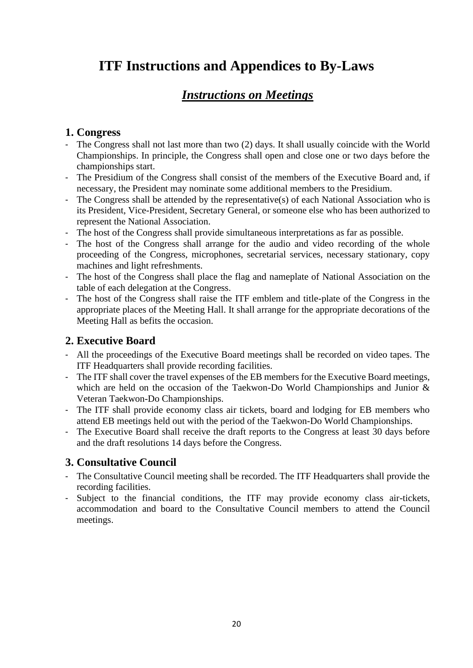## **ITF Instructions and Appendices to By-Laws**

### *Instructions on Meetings*

### **1. Congress**

- The Congress shall not last more than two (2) days. It shall usually coincide with the World Championships. In principle, the Congress shall open and close one or two days before the championships start.
- The Presidium of the Congress shall consist of the members of the Executive Board and, if necessary, the President may nominate some additional members to the Presidium.
- The Congress shall be attended by the representative(s) of each National Association who is its President, Vice-President, Secretary General, or someone else who has been authorized to represent the National Association.
- The host of the Congress shall provide simultaneous interpretations as far as possible.
- The host of the Congress shall arrange for the audio and video recording of the whole proceeding of the Congress, microphones, secretarial services, necessary stationary, copy machines and light refreshments.
- The host of the Congress shall place the flag and nameplate of National Association on the table of each delegation at the Congress.
- The host of the Congress shall raise the ITF emblem and title-plate of the Congress in the appropriate places of the Meeting Hall. It shall arrange for the appropriate decorations of the Meeting Hall as befits the occasion.

### **2. Executive Board**

- All the proceedings of the Executive Board meetings shall be recorded on video tapes. The ITF Headquarters shall provide recording facilities.
- The ITF shall cover the travel expenses of the EB members for the Executive Board meetings, which are held on the occasion of the Taekwon-Do World Championships and Junior & Veteran Taekwon-Do Championships.
- The ITF shall provide economy class air tickets, board and lodging for EB members who attend EB meetings held out with the period of the Taekwon-Do World Championships.
- The Executive Board shall receive the draft reports to the Congress at least 30 days before and the draft resolutions 14 days before the Congress.

### **3. Consultative Council**

- The Consultative Council meeting shall be recorded. The ITF Headquarters shall provide the recording facilities.
- Subject to the financial conditions, the ITF may provide economy class air-tickets, accommodation and board to the Consultative Council members to attend the Council meetings.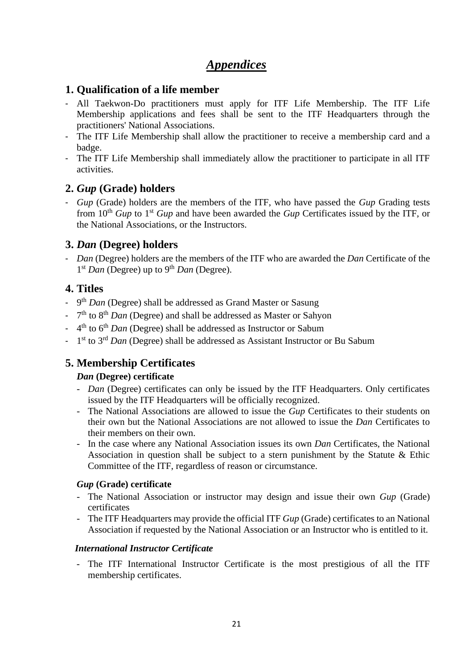### *Appendices*

### **1. Qualification of a life member**

- All Taekwon-Do practitioners must apply for ITF Life Membership. The ITF Life Membership applications and fees shall be sent to the ITF Headquarters through the practitioners' National Associations.
- The ITF Life Membership shall allow the practitioner to receive a membership card and a badge.
- The ITF Life Membership shall immediately allow the practitioner to participate in all ITF activities.

### **2.** *Gup* **(Grade) holders**

- *Gup* (Grade) holders are the members of the ITF, who have passed the *Gup* Grading tests from 10<sup>th</sup> *Gup* to 1<sup>st</sup> *Gup* and have been awarded the *Gup* Certificates issued by the ITF, or the National Associations, or the Instructors.

### **3.** *Dan* **(Degree) holders**

- *Dan* (Degree) holders are the members of the ITF who are awarded the *Dan* Certificate of the 1<sup>st</sup> *Dan* (Degree) up to 9<sup>th</sup> *Dan* (Degree).

### **4. Titles**

- 9<sup>th</sup> *Dan* (Degree) shall be addressed as Grand Master or Sasung
- 7<sup>th</sup> to 8<sup>th</sup> *Dan* (Degree) and shall be addressed as Master or Sahyon
- 4<sup>th</sup> to 6<sup>th</sup> *Dan* (Degree) shall be addressed as Instructor or Sabum
- 1<sup>st</sup> to 3<sup>rd</sup> *Dan* (Degree) shall be addressed as Assistant Instructor or Bu Sabum

### **5. Membership Certificates**

#### *Dan* **(Degree) certificate**

- *Dan* (Degree) certificates can only be issued by the ITF Headquarters. Only certificates issued by the ITF Headquarters will be officially recognized.
- The National Associations are allowed to issue the *Gup* Certificates to their students on their own but the National Associations are not allowed to issue the *Dan* Certificates to their members on their own.
- In the case where any National Association issues its own *Dan* Certificates, the National Association in question shall be subject to a stern punishment by the Statute & Ethic Committee of the ITF, regardless of reason or circumstance.

#### *Gup* **(Grade) certificate**

- The National Association or instructor may design and issue their own *Gup* (Grade) certificates
- The ITF Headquarters may provide the official ITF *Gup* (Grade) certificates to an National Association if requested by the National Association or an Instructor who is entitled to it.

#### *International Instructor Certificate*

- The ITF International Instructor Certificate is the most prestigious of all the ITF membership certificates.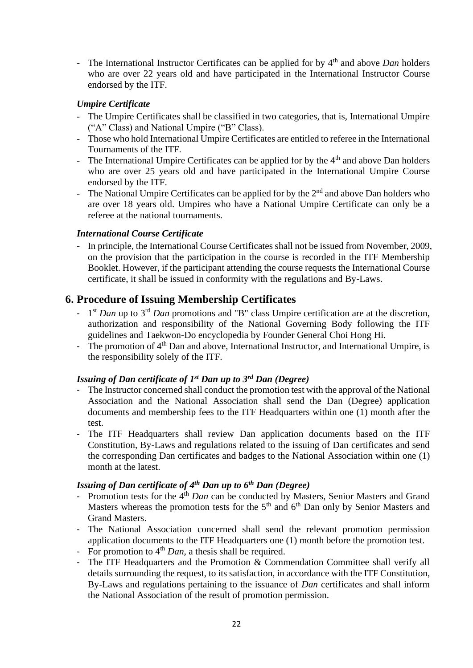- The International Instructor Certificates can be applied for by 4th and above *Dan* holders who are over 22 years old and have participated in the International Instructor Course endorsed by the ITF.

#### *Umpire Certificate*

- The Umpire Certificates shall be classified in two categories, that is, International Umpire ("A" Class) and National Umpire ("B" Class).
- Those who hold International Umpire Certificates are entitled to referee in the International Tournaments of the ITF.
- The International Umpire Certificates can be applied for by the  $4<sup>th</sup>$  and above Dan holders who are over 25 years old and have participated in the International Umpire Course endorsed by the ITF.
- The National Umpire Certificates can be applied for by the  $2<sup>nd</sup>$  and above Dan holders who are over 18 years old. Umpires who have a National Umpire Certificate can only be a referee at the national tournaments.

#### *International Course Certificate*

- In principle, the International Course Certificates shall not be issued from November, 2009, on the provision that the participation in the course is recorded in the ITF Membership Booklet. However, if the participant attending the course requests the International Course certificate, it shall be issued in conformity with the regulations and By-Laws.

#### **6. Procedure of Issuing Membership Certificates**

- 1<sup>st</sup> *Dan* up to 3<sup>rd</sup> *Dan* promotions and "B" class Umpire certification are at the discretion, authorization and responsibility of the National Governing Body following the ITF guidelines and Taekwon-Do encyclopedia by Founder General Choi Hong Hi.
- The promotion of 4<sup>th</sup> Dan and above, International Instructor, and International Umpire, is the responsibility solely of the ITF.

#### *Issuing of Dan certificate of 1 st Dan up to 3rd Dan (Degree)*

- The Instructor concerned shall conduct the promotion test with the approval of the National Association and the National Association shall send the Dan (Degree) application documents and membership fees to the ITF Headquarters within one (1) month after the test.
- The ITF Headquarters shall review Dan application documents based on the ITF Constitution, By-Laws and regulations related to the issuing of Dan certificates and send the corresponding Dan certificates and badges to the National Association within one (1) month at the latest.

#### *Issuing of Dan certificate of 4 th Dan up to 6th Dan (Degree)*

- Promotion tests for the 4<sup>th</sup> *Dan* can be conducted by Masters, Senior Masters and Grand Masters whereas the promotion tests for the  $5<sup>th</sup>$  and  $6<sup>th</sup>$  Dan only by Senior Masters and Grand Masters.
- The National Association concerned shall send the relevant promotion permission application documents to the ITF Headquarters one (1) month before the promotion test.
- For promotion to 4<sup>th</sup> *Dan*, a thesis shall be required.
- The ITF Headquarters and the Promotion & Commendation Committee shall verify all details surrounding the request, to its satisfaction, in accordance with the ITF Constitution, By-Laws and regulations pertaining to the issuance of *Dan* certificates and shall inform the National Association of the result of promotion permission.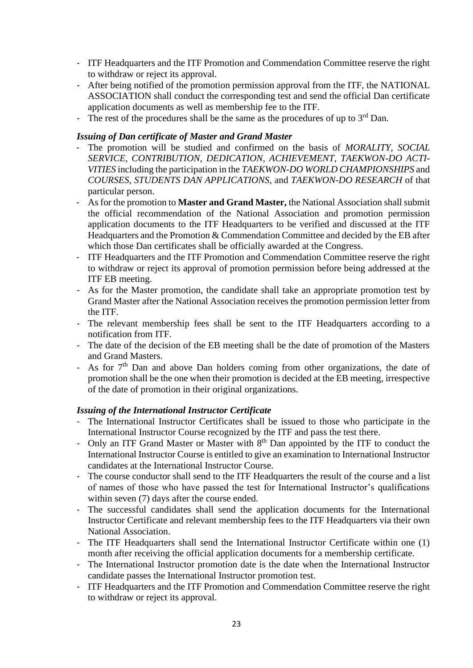- ITF Headquarters and the ITF Promotion and Commendation Committee reserve the right to withdraw or reject its approval.
- After being notified of the promotion permission approval from the ITF, the NATIONAL ASSOCIATION shall conduct the corresponding test and send the official Dan certificate application documents as well as membership fee to the ITF.
- The rest of the procedures shall be the same as the procedures of up to  $3<sup>rd</sup>$  Dan.

#### *Issuing of Dan certificate of Master and Grand Master*

- The promotion will be studied and confirmed on the basis of *MORALITY, SOCIAL SERVICE, CONTRIBUTION, DEDICATION, ACHIEVEMENT, TAEKWON-DO ACTI-VITIES* including the participation in the *TAEKWON-DO WORLD CHAMPIONSHIPS* and *COURSES, STUDENTS DAN APPLICATIONS*, and *TAEKWON-DO RESEARCH* of that particular person.
- As for the promotion to **Master and Grand Master,** the National Association shall submit the official recommendation of the National Association and promotion permission application documents to the ITF Headquarters to be verified and discussed at the ITF Headquarters and the Promotion & Commendation Committee and decided by the EB after which those Dan certificates shall be officially awarded at the Congress.
- ITF Headquarters and the ITF Promotion and Commendation Committee reserve the right to withdraw or reject its approval of promotion permission before being addressed at the ITF EB meeting.
- As for the Master promotion, the candidate shall take an appropriate promotion test by Grand Master after the National Association receives the promotion permission letter from the ITF.
- The relevant membership fees shall be sent to the ITF Headquarters according to a notification from ITF.
- The date of the decision of the EB meeting shall be the date of promotion of the Masters and Grand Masters.
- As for  $7<sup>th</sup>$  Dan and above Dan holders coming from other organizations, the date of promotion shall be the one when their promotion is decided at the EB meeting, irrespective of the date of promotion in their original organizations.

#### *Issuing of the International Instructor Certificate*

- The International Instructor Certificates shall be issued to those who participate in the International Instructor Course recognized by the ITF and pass the test there.
- Only an ITF Grand Master or Master with 8<sup>th</sup> Dan appointed by the ITF to conduct the International Instructor Course is entitled to give an examination to International Instructor candidates at the International Instructor Course.
- The course conductor shall send to the ITF Headquarters the result of the course and a list of names of those who have passed the test for International Instructor's qualifications within seven (7) days after the course ended.
- The successful candidates shall send the application documents for the International Instructor Certificate and relevant membership fees to the ITF Headquarters via their own National Association.
- The ITF Headquarters shall send the International Instructor Certificate within one (1) month after receiving the official application documents for a membership certificate.
- The International Instructor promotion date is the date when the International Instructor candidate passes the International Instructor promotion test.
- ITF Headquarters and the ITF Promotion and Commendation Committee reserve the right to withdraw or reject its approval.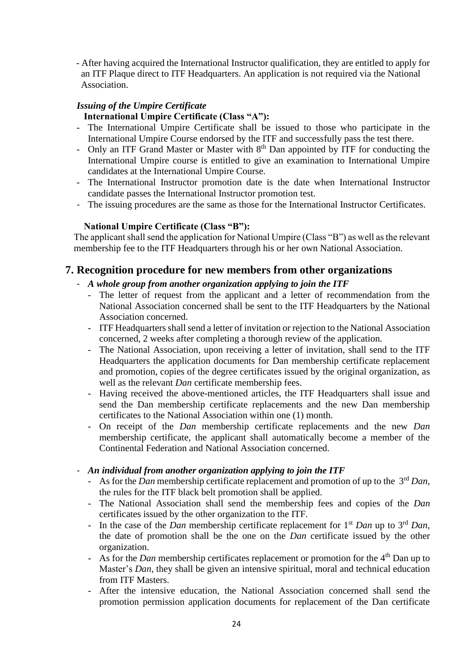- After having acquired the International Instructor qualification, they are entitled to apply for an ITF Plaque direct to ITF Headquarters. An application is not required via the National Association.

#### *Issuing of the Umpire Certificate*

#### **International Umpire Certificate (Class "A"):**

- The International Umpire Certificate shall be issued to those who participate in the International Umpire Course endorsed by the ITF and successfully pass the test there.
- Only an ITF Grand Master or Master with 8<sup>th</sup> Dan appointed by ITF for conducting the International Umpire course is entitled to give an examination to International Umpire candidates at the International Umpire Course.
- The International Instructor promotion date is the date when International Instructor candidate passes the International Instructor promotion test.
- The issuing procedures are the same as those for the International Instructor Certificates.

#### **National Umpire Certificate (Class "B"):**

 The applicant shall send the application for National Umpire (Class "B") as well as the relevant membership fee to the ITF Headquarters through his or her own National Association.

#### **7. Recognition procedure for new members from other organizations**

#### - *A whole group from another organization applying to join the ITF*

- The letter of request from the applicant and a letter of recommendation from the National Association concerned shall be sent to the ITF Headquarters by the National Association concerned.
- ITF Headquarters shall send a letter of invitation or rejection to the National Association concerned, 2 weeks after completing a thorough review of the application.
- The National Association, upon receiving a letter of invitation, shall send to the ITF Headquarters the application documents for Dan membership certificate replacement and promotion, copies of the degree certificates issued by the original organization, as well as the relevant *Dan* certificate membership fees.
- Having received the above-mentioned articles, the ITF Headquarters shall issue and send the Dan membership certificate replacements and the new Dan membership certificates to the National Association within one (1) month.
- On receipt of the *Dan* membership certificate replacements and the new *Dan* membership certificate, the applicant shall automatically become a member of the Continental Federation and National Association concerned.

#### - *An individual from another organization applying to join the ITF*

- As for the *Dan* membership certificate replacement and promotion of up to the 3rd *Dan*, the rules for the ITF black belt promotion shall be applied.
- The National Association shall send the membership fees and copies of the *Dan* certificates issued by the other organization to the ITF.
- In the case of the *Dan* membership certificate replacement for 1st *Dan* up to 3rd *Dan*, the date of promotion shall be the one on the *Dan* certificate issued by the other organization.
- As for the *Dan* membership certificates replacement or promotion for the 4<sup>th</sup> Dan up to Master's *Dan*, they shall be given an intensive spiritual, moral and technical education from ITF Masters.
- After the intensive education, the National Association concerned shall send the promotion permission application documents for replacement of the Dan certificate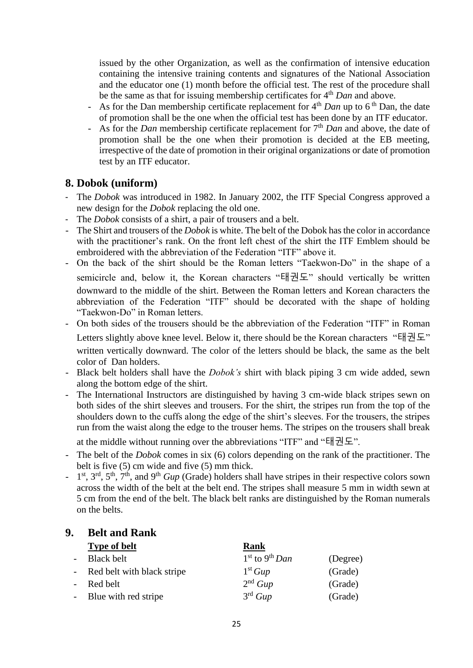issued by the other Organization, as well as the confirmation of intensive education containing the intensive training contents and signatures of the National Association and the educator one (1) month before the official test. The rest of the procedure shall be the same as that for issuing membership certificates for 4th *Dan* and above.

- As for the Dan membership certificate replacement for 4<sup>th</sup> *Dan* up to 6<sup>th</sup> Dan, the date of promotion shall be the one when the official test has been done by an ITF educator.
- As for the *Dan* membership certificate replacement for 7th *Dan* and above, the date of promotion shall be the one when their promotion is decided at the EB meeting, irrespective of the date of promotion in their original organizations or date of promotion test by an ITF educator.

#### **8. Dobok (uniform)**

- The *Dobok* was introduced in 1982. In January 2002, the ITF Special Congress approved a new design for the *Dobok* replacing the old one.
- The *Dobok* consists of a shirt, a pair of trousers and a belt.
- The Shirt and trousers of the *Dobok* is white. The belt of the Dobok has the color in accordance with the practitioner's rank. On the front left chest of the shirt the ITF Emblem should be embroidered with the abbreviation of the Federation "ITF" above it.
- On the back of the shirt should be the Roman letters "Taekwon-Do" in the shape of a semicircle and, below it, the Korean characters "태권도" should vertically be written downward to the middle of the shirt. Between the Roman letters and Korean characters the abbreviation of the Federation "ITF" should be decorated with the shape of holding "Taekwon-Do" in Roman letters.
- On both sides of the trousers should be the abbreviation of the Federation "ITF" in Roman Letters slightly above knee level. Below it, there should be the Korean characters "태권도" written vertically downward. The color of the letters should be black, the same as the belt color of Dan holders.
- Black belt holders shall have the *Dobok's* shirt with black piping 3 cm wide added, sewn along the bottom edge of the shirt.
- The International Instructors are distinguished by having 3 cm-wide black stripes sewn on both sides of the shirt sleeves and trousers. For the shirt, the stripes run from the top of the shoulders down to the cuffs along the edge of the shirt's sleeves. For the trousers, the stripes run from the waist along the edge to the trouser hems. The stripes on the trousers shall break

at the middle without running over the abbreviations "ITF" and "태권도".

- The belt of the *Dobok* comes in six (6) colors depending on the rank of the practitioner. The belt is five (5) cm wide and five (5) mm thick.
- <sup>-</sup> 1<sup>st</sup>, 3<sup>rd</sup>, 5<sup>th</sup>, 7<sup>th</sup>, and 9<sup>th</sup> *Gup* (Grade) holders shall have stripes in their respective colors sown across the width of the belt at the belt end. The stripes shall measure 5 mm in width sewn at 5 cm from the end of the belt. The black belt ranks are distinguished by the Roman numerals on the belts.

#### **9. Belt and Rank**

| <b>Type of belt</b>          | Rank                         |          |
|------------------------------|------------------------------|----------|
| <b>Black belt</b>            | $1st$ to 9 <sup>th</sup> Dan | (Degree) |
| - Red belt with black stripe | 1 <sup>st</sup> Gup          | (Grade)  |
| Red belt                     | 2 <sup>nd</sup> Gup          | (Grade)  |
| - Blue with red stripe       | $3^{\text{rd}}$ Gup          | (Grade)  |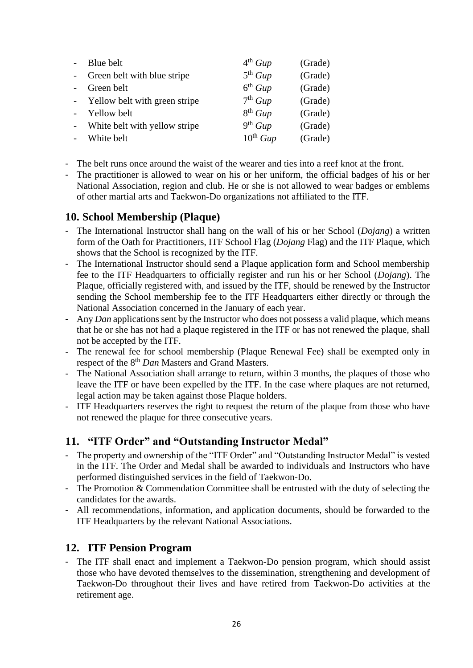| Blue belt                       | 4 <sup>th</sup> Gup | (Grade) |
|---------------------------------|---------------------|---------|
| Green belt with blue stripe     | 5 <sup>th</sup> Gup | (Grade) |
| Green belt                      | 6 <sup>th</sup> Gup | (Grade) |
| - Yellow belt with green stripe | 7 <sup>th</sup> Gup | (Grade) |
| Yellow belt                     | 8 <sup>th</sup> Gup | (Grade) |
| White belt with yellow stripe   | 9 <sup>th</sup> Gup | (Grade) |
| White belt                      | $10^{th} Gup$       | (Grade) |

- The belt runs once around the waist of the wearer and ties into a reef knot at the front.
- The practitioner is allowed to wear on his or her uniform, the official badges of his or her National Association, region and club. He or she is not allowed to wear badges or emblems of other martial arts and Taekwon-Do organizations not affiliated to the ITF.

#### **10. School Membership (Plaque)**

- The International Instructor shall hang on the wall of his or her School (*Dojang*) a written form of the Oath for Practitioners, ITF School Flag (*Dojang* Flag) and the ITF Plaque, which shows that the School is recognized by the ITF.
- The International Instructor should send a Plaque application form and School membership fee to the ITF Headquarters to officially register and run his or her School (*Dojang*). The Plaque, officially registered with, and issued by the ITF, should be renewed by the Instructor sending the School membership fee to the ITF Headquarters either directly or through the National Association concerned in the January of each year.
- Any *Dan* applications sent by the Instructor who does not possess a valid plaque, which means that he or she has not had a plaque registered in the ITF or has not renewed the plaque, shall not be accepted by the ITF.
- The renewal fee for school membership (Plaque Renewal Fee) shall be exempted only in respect of the 8th *Dan* Masters and Grand Masters.
- The National Association shall arrange to return, within 3 months, the plaques of those who leave the ITF or have been expelled by the ITF. In the case where plaques are not returned, legal action may be taken against those Plaque holders.
- ITF Headquarters reserves the right to request the return of the plaque from those who have not renewed the plaque for three consecutive years.

### **11. "ITF Order" and "Outstanding Instructor Medal"**

- The property and ownership of the "ITF Order" and "Outstanding Instructor Medal" is vested in the ITF. The Order and Medal shall be awarded to individuals and Instructors who have performed distinguished services in the field of Taekwon-Do.
- The Promotion  $&$  Commendation Committee shall be entrusted with the duty of selecting the candidates for the awards.
- All recommendations, information, and application documents, should be forwarded to the ITF Headquarters by the relevant National Associations.

### **12. ITF Pension Program**

- The ITF shall enact and implement a Taekwon-Do pension program, which should assist those who have devoted themselves to the dissemination, strengthening and development of Taekwon-Do throughout their lives and have retired from Taekwon-Do activities at the retirement age.